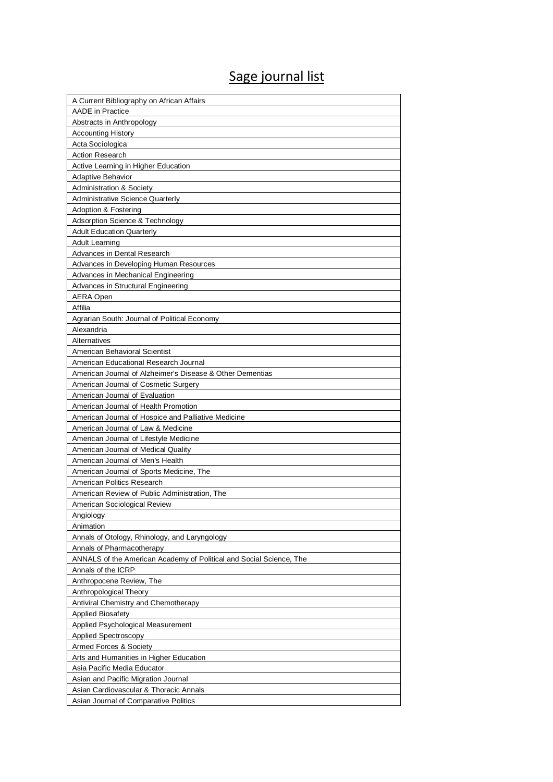## Sage journal list

| A Current Bibliography on African Affairs                           |
|---------------------------------------------------------------------|
| <b>AADE</b> in Practice                                             |
| Abstracts in Anthropology                                           |
| <b>Accounting History</b>                                           |
| Acta Sociologica                                                    |
| <b>Action Research</b>                                              |
| Active Learning in Higher Education                                 |
| <b>Adaptive Behavior</b>                                            |
| <b>Administration &amp; Society</b>                                 |
| Administrative Science Quarterly                                    |
| <b>Adoption &amp; Fostering</b>                                     |
| Adsorption Science & Technology                                     |
| <b>Adult Education Quarterly</b>                                    |
| <b>Adult Learning</b>                                               |
| Advances in Dental Research                                         |
| Advances in Developing Human Resources                              |
| Advances in Mechanical Engineering                                  |
| Advances in Structural Engineering                                  |
| <b>AERA Open</b>                                                    |
| Affilia                                                             |
| Agrarian South: Journal of Political Economy                        |
| Alexandria                                                          |
| Alternatives                                                        |
| American Behavioral Scientist                                       |
| American Educational Research Journal                               |
| American Journal of Alzheimer's Disease & Other Dementias           |
| American Journal of Cosmetic Surgery                                |
| American Journal of Evaluation                                      |
| American Journal of Health Promotion                                |
| American Journal of Hospice and Palliative Medicine                 |
| American Journal of Law & Medicine                                  |
| American Journal of Lifestyle Medicine                              |
| American Journal of Medical Quality                                 |
| American Journal of Men's Health                                    |
| American Journal of Sports Medicine, The                            |
| American Politics Research                                          |
| American Review of Public Administration, The                       |
| American Sociological Review                                        |
| Angiology                                                           |
| Animation                                                           |
| Annals of Otology, Rhinology, and Laryngology                       |
| Annals of Pharmacotherapy                                           |
| ANNALS of the American Academy of Political and Social Science, The |
| Annals of the ICRP                                                  |
| Anthropocene Review, The                                            |
| Anthropological Theory                                              |
| Antiviral Chemistry and Chemotherapy                                |
| <b>Applied Biosafety</b>                                            |
| Applied Psychological Measurement                                   |
| <b>Applied Spectroscopy</b>                                         |
| Armed Forces & Society                                              |
| Arts and Humanities in Higher Education                             |
| Asia Pacific Media Educator                                         |
| Asian and Pacific Migration Journal                                 |
| Asian Cardiovascular & Thoracic Annals                              |
| Asian Journal of Comparative Politics                               |
|                                                                     |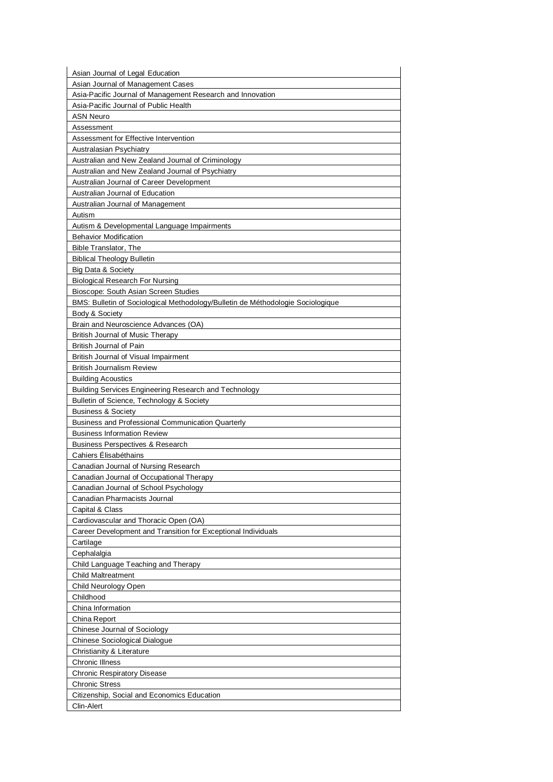| Asian Journal of Legal Education                                                |
|---------------------------------------------------------------------------------|
| Asian Journal of Management Cases                                               |
| Asia-Pacific Journal of Management Research and Innovation                      |
| Asia-Pacific Journal of Public Health                                           |
| <b>ASN Neuro</b>                                                                |
| Assessment                                                                      |
| Assessment for Effective Intervention                                           |
| Australasian Psychiatry                                                         |
| Australian and New Zealand Journal of Criminology                               |
| Australian and New Zealand Journal of Psychiatry                                |
| Australian Journal of Career Development                                        |
| Australian Journal of Education                                                 |
| Australian Journal of Management                                                |
| Autism                                                                          |
| Autism & Developmental Language Impairments                                     |
| <b>Behavior Modification</b>                                                    |
| <b>Bible Translator, The</b>                                                    |
| <b>Biblical Theology Bulletin</b>                                               |
| Big Data & Society                                                              |
| <b>Biological Research For Nursing</b>                                          |
| Bioscope: South Asian Screen Studies                                            |
| BMS: Bulletin of Sociological Methodology/Bulletin de Méthodologie Sociologique |
| Body & Society                                                                  |
| Brain and Neuroscience Advances (OA)                                            |
| <b>British Journal of Music Therapy</b>                                         |
| <b>British Journal of Pain</b>                                                  |
| British Journal of Visual Impairment                                            |
| <b>British Journalism Review</b>                                                |
| <b>Building Acoustics</b>                                                       |
| Building Services Engineering Research and Technology                           |
| Bulletin of Science, Technology & Society                                       |
| <b>Business &amp; Society</b>                                                   |
| <b>Business and Professional Communication Quarterly</b>                        |
| <b>Business Information Review</b>                                              |
| <b>Business Perspectives &amp; Research</b>                                     |
| Cahiers Élisabéthains                                                           |
| Canadian Journal of Nursing Research                                            |
| Canadian Journal of Occupational Therapy                                        |
| Canadian Journal of School Psychology                                           |
| Canadian Pharmacists Journal                                                    |
|                                                                                 |
| Capital & Class                                                                 |
| Cardiovascular and Thoracic Open (OA)                                           |
| Career Development and Transition for Exceptional Individuals                   |
| Cartilage                                                                       |
| Cephalalgia                                                                     |
| Child Language Teaching and Therapy                                             |
| <b>Child Maltreatment</b>                                                       |
| Child Neurology Open                                                            |
| Childhood                                                                       |
| China Information                                                               |
| China Report                                                                    |
| Chinese Journal of Sociology                                                    |
| Chinese Sociological Dialogue                                                   |
| Christianity & Literature                                                       |
| <b>Chronic Illness</b>                                                          |
| <b>Chronic Respiratory Disease</b>                                              |
| <b>Chronic Stress</b>                                                           |
| Citizenship, Social and Economics Education                                     |
| Clin-Alert                                                                      |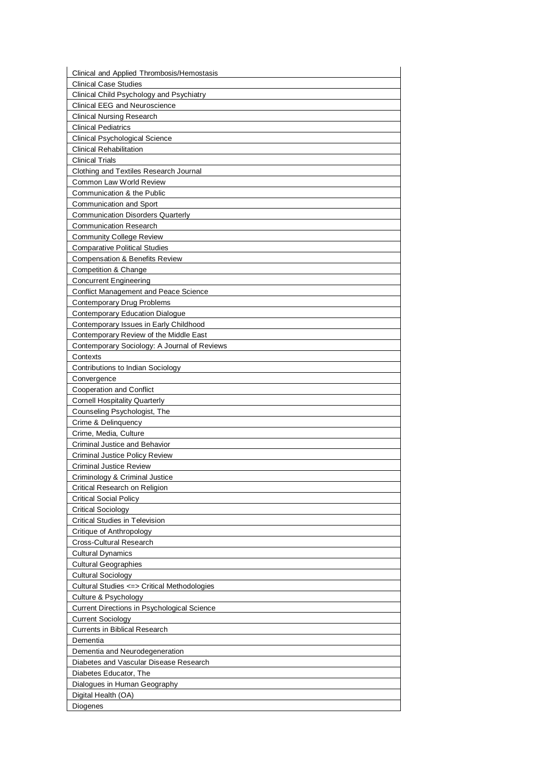| Clinical and Applied Thrombosis/Hemostasis                                       |
|----------------------------------------------------------------------------------|
| <b>Clinical Case Studies</b>                                                     |
| Clinical Child Psychology and Psychiatry                                         |
| <b>Clinical EEG and Neuroscience</b>                                             |
| <b>Clinical Nursing Research</b>                                                 |
| <b>Clinical Pediatrics</b>                                                       |
| Clinical Psychological Science                                                   |
| <b>Clinical Rehabilitation</b>                                                   |
| <b>Clinical Trials</b>                                                           |
| Clothing and Textiles Research Journal                                           |
| Common Law World Review                                                          |
| Communication & the Public                                                       |
| <b>Communication and Sport</b>                                                   |
| Communication Disorders Quarterly                                                |
| <b>Communication Research</b>                                                    |
| Community College Review                                                         |
| <b>Comparative Political Studies</b>                                             |
| <b>Compensation &amp; Benefits Review</b>                                        |
| Competition & Change                                                             |
| <b>Concurrent Engineering</b>                                                    |
| <b>Conflict Management and Peace Science</b>                                     |
| Contemporary Drug Problems                                                       |
| <b>Contemporary Education Dialogue</b>                                           |
| Contemporary Issues in Early Childhood<br>Contemporary Review of the Middle East |
| Contemporary Sociology: A Journal of Reviews                                     |
| Contexts                                                                         |
| Contributions to Indian Sociology                                                |
| Convergence                                                                      |
| Cooperation and Conflict                                                         |
| <b>Cornell Hospitality Quarterly</b>                                             |
| Counseling Psychologist, The                                                     |
| Crime & Delinquency                                                              |
| Crime, Media, Culture                                                            |
| Criminal Justice and Behavior                                                    |
| <b>Criminal Justice Policy Review</b>                                            |
| <b>Criminal Justice Review</b>                                                   |
| Criminology & Criminal Justice                                                   |
| Critical Research on Religion                                                    |
| Critical Social Policy                                                           |
| <b>Critical Sociology</b>                                                        |
| <b>Critical Studies in Television</b>                                            |
| Critique of Anthropology                                                         |
| Cross-Cultural Research                                                          |
| <b>Cultural Dynamics</b>                                                         |
| <b>Cultural Geographies</b>                                                      |
| <b>Cultural Sociology</b>                                                        |
| Cultural Studies <=> Critical Methodologies                                      |
| Culture & Psychology                                                             |
| <b>Current Directions in Psychological Science</b>                               |
| <b>Current Sociology</b>                                                         |
| <b>Currents in Biblical Research</b>                                             |
| Dementia<br>Dementia and Neurodegeneration                                       |
| Diabetes and Vascular Disease Research                                           |
| Diabetes Educator, The                                                           |
| Dialogues in Human Geography                                                     |
| Digital Health (OA)                                                              |
| Diogenes                                                                         |
|                                                                                  |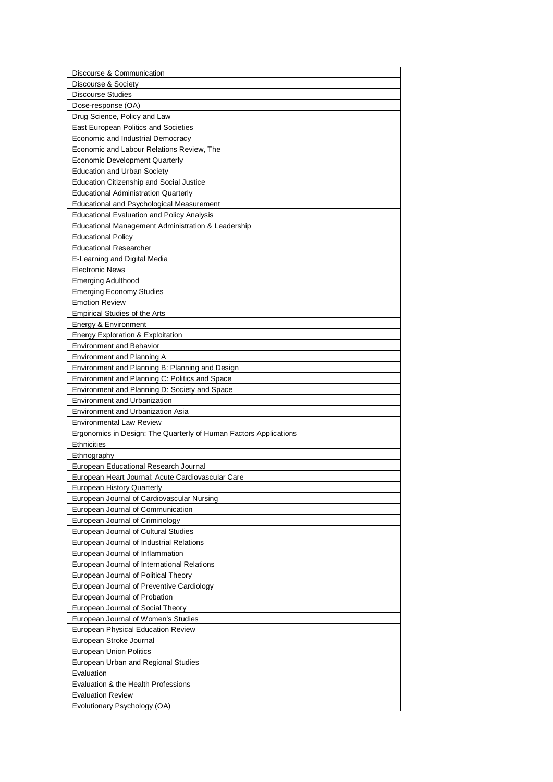| Discourse & Communication                                                            |
|--------------------------------------------------------------------------------------|
| Discourse & Society                                                                  |
| <b>Discourse Studies</b>                                                             |
| Dose-response (OA)                                                                   |
| Drug Science, Policy and Law                                                         |
| <b>East European Politics and Societies</b>                                          |
| Economic and Industrial Democracy                                                    |
| Economic and Labour Relations Review, The                                            |
| <b>Economic Development Quarterly</b>                                                |
| <b>Education and Urban Society</b>                                                   |
| <b>Education Citizenship and Social Justice</b>                                      |
| <b>Educational Administration Quarterly</b>                                          |
| Educational and Psychological Measurement                                            |
| <b>Educational Evaluation and Policy Analysis</b>                                    |
| Educational Management Administration & Leadership                                   |
| <b>Educational Policy</b>                                                            |
| <b>Educational Researcher</b>                                                        |
| E-Learning and Digital Media                                                         |
| <b>Electronic News</b>                                                               |
| <b>Emerging Adulthood</b>                                                            |
| <b>Emerging Economy Studies</b>                                                      |
| <b>Emotion Review</b>                                                                |
| <b>Empirical Studies of the Arts</b>                                                 |
| Energy & Environment                                                                 |
| Energy Exploration & Exploitation                                                    |
| <b>Environment and Behavior</b>                                                      |
| Environment and Planning A                                                           |
| Environment and Planning B: Planning and Design                                      |
| Environment and Planning C: Politics and Space                                       |
| Environment and Planning D: Society and Space<br><b>Environment and Urbanization</b> |
| <b>Environment and Urbanization Asia</b>                                             |
| <b>Environmental Law Review</b>                                                      |
| Ergonomics in Design: The Quarterly of Human Factors Applications                    |
| <b>Ethnicities</b>                                                                   |
| Ethnography                                                                          |
| European Educational Research Journal                                                |
| European Heart Journal: Acute Cardiovascular Care                                    |
| European History Quarterly                                                           |
| European Journal of Cardiovascular Nursing                                           |
| European Journal of Communication                                                    |
| European Journal of Criminology                                                      |
| European Journal of Cultural Studies                                                 |
| European Journal of Industrial Relations                                             |
| European Journal of Inflammation                                                     |
| European Journal of International Relations                                          |
| European Journal of Political Theory                                                 |
| European Journal of Preventive Cardiology                                            |
| European Journal of Probation                                                        |
| European Journal of Social Theory                                                    |
| European Journal of Women's Studies                                                  |
| European Physical Education Review                                                   |
| European Stroke Journal                                                              |
| <b>European Union Politics</b>                                                       |
| European Urban and Regional Studies                                                  |
| Evaluation                                                                           |
| Evaluation & the Health Professions                                                  |
| <b>Evaluation Review</b>                                                             |
| Evolutionary Psychology (OA)                                                         |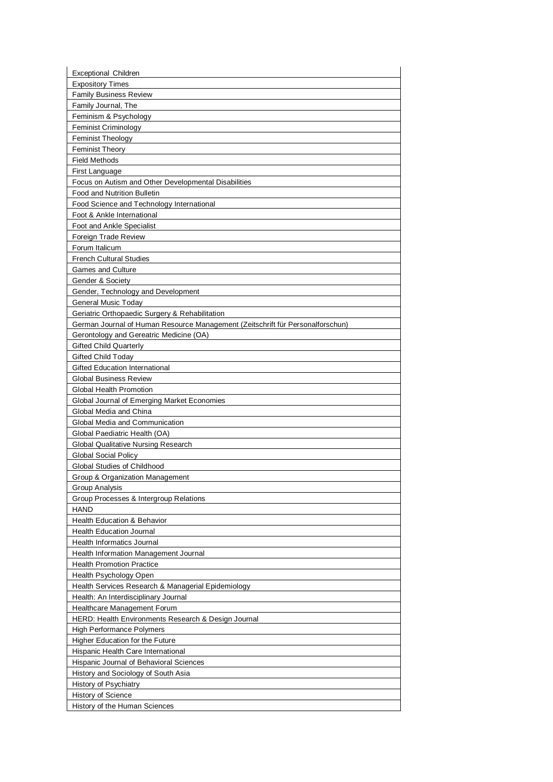| <b>Exceptional Children</b>                                                    |
|--------------------------------------------------------------------------------|
| <b>Expository Times</b>                                                        |
| <b>Family Business Review</b>                                                  |
| Family Journal, The                                                            |
| Feminism & Psychology                                                          |
| <b>Feminist Criminology</b>                                                    |
| <b>Feminist Theology</b>                                                       |
| <b>Feminist Theory</b>                                                         |
| <b>Field Methods</b>                                                           |
| First Language                                                                 |
| Focus on Autism and Other Developmental Disabilities                           |
| Food and Nutrition Bulletin                                                    |
| Food Science and Technology International                                      |
| Foot & Ankle International                                                     |
| Foot and Ankle Specialist                                                      |
| Foreign Trade Review                                                           |
| Forum Italicum                                                                 |
| <b>French Cultural Studies</b>                                                 |
| <b>Games and Culture</b>                                                       |
| Gender & Society                                                               |
| Gender, Technology and Development                                             |
| <b>General Music Today</b>                                                     |
| Geriatric Orthopaedic Surgery & Rehabilitation                                 |
| German Journal of Human Resource Management (Zeitschrift für Personalforschun) |
| Gerontology and Gereatric Medicine (OA)                                        |
| <b>Gifted Child Quarterly</b>                                                  |
| <b>Gifted Child Today</b>                                                      |
| <b>Gifted Education International</b>                                          |
| <b>Global Business Review</b>                                                  |
| Global Health Promotion                                                        |
| Global Journal of Emerging Market Economies                                    |
| Global Media and China                                                         |
| Global Media and Communication                                                 |
| Global Paediatric Health (OA)                                                  |
| <b>Global Qualitative Nursing Research</b>                                     |
| <b>Global Social Policy</b>                                                    |
| Global Studies of Childhood                                                    |
| Group & Organization Management                                                |
| Group Analysis                                                                 |
| Group Processes & Intergroup Relations                                         |
| <b>HAND</b>                                                                    |
| <b>Health Education &amp; Behavior</b>                                         |
| <b>Health Education Journal</b>                                                |
| Health Informatics Journal                                                     |
| Health Information Management Journal                                          |
| <b>Health Promotion Practice</b>                                               |
| Health Psychology Open                                                         |
| Health Services Research & Managerial Epidemiology                             |
| Health: An Interdisciplinary Journal                                           |
| Healthcare Management Forum                                                    |
| HERD: Health Environments Research & Design Journal                            |
| High Performance Polymers                                                      |
| Higher Education for the Future                                                |
| Hispanic Health Care International                                             |
| Hispanic Journal of Behavioral Sciences                                        |
| History and Sociology of South Asia                                            |
| History of Psychiatry                                                          |
| History of Science                                                             |
|                                                                                |
| History of the Human Sciences                                                  |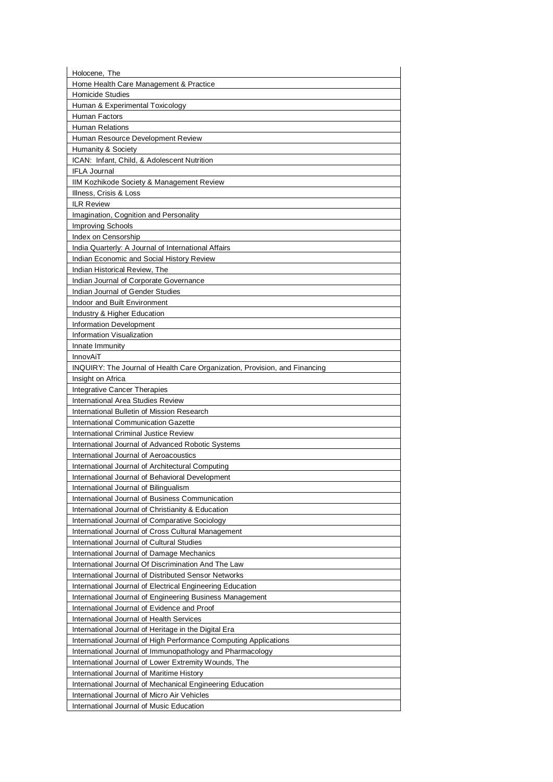| Holocene, The                                                              |  |
|----------------------------------------------------------------------------|--|
| Home Health Care Management & Practice                                     |  |
| <b>Homicide Studies</b>                                                    |  |
| Human & Experimental Toxicology                                            |  |
| Human Factors                                                              |  |
| Human Relations                                                            |  |
| Human Resource Development Review                                          |  |
| Humanity & Society                                                         |  |
| ICAN: Infant, Child, & Adolescent Nutrition                                |  |
| <b>IFLA Journal</b>                                                        |  |
| IIM Kozhikode Society & Management Review                                  |  |
| Illness, Crisis & Loss                                                     |  |
| <b>ILR Review</b>                                                          |  |
| Imagination, Cognition and Personality<br><b>Improving Schools</b>         |  |
| Index on Censorship                                                        |  |
| India Quarterly: A Journal of International Affairs                        |  |
| Indian Economic and Social History Review                                  |  |
| Indian Historical Review, The                                              |  |
| Indian Journal of Corporate Governance                                     |  |
| Indian Journal of Gender Studies                                           |  |
| Indoor and Built Environment                                               |  |
| Industry & Higher Education                                                |  |
| <b>Information Development</b>                                             |  |
| Information Visualization                                                  |  |
| Innate Immunity                                                            |  |
| <b>InnovAiT</b>                                                            |  |
| INQUIRY: The Journal of Health Care Organization, Provision, and Financing |  |
| Insight on Africa                                                          |  |
| Integrative Cancer Therapies                                               |  |
| International Area Studies Review                                          |  |
| International Bulletin of Mission Research                                 |  |
| International Communication Gazette                                        |  |
| International Criminal Justice Review                                      |  |
| International Journal of Advanced Robotic Systems                          |  |
| International Journal of Aeroacoustics                                     |  |
| International Journal of Architectural Computing                           |  |
| International Journal of Behavioral Development                            |  |
| International Journal of Bilingualism                                      |  |
| International Journal of Business Communication                            |  |
| International Journal of Christianity & Education                          |  |
| International Journal of Comparative Sociology                             |  |
| International Journal of Cross Cultural Management                         |  |
| International Journal of Cultural Studies                                  |  |
| International Journal of Damage Mechanics                                  |  |
| International Journal Of Discrimination And The Law                        |  |
| International Journal of Distributed Sensor Networks                       |  |
| International Journal of Electrical Engineering Education                  |  |
| International Journal of Engineering Business Management                   |  |
| International Journal of Evidence and Proof                                |  |
| International Journal of Health Services                                   |  |
| International Journal of Heritage in the Digital Era                       |  |
| International Journal of High Performance Computing Applications           |  |
| International Journal of Immunopathology and Pharmacology                  |  |
| International Journal of Lower Extremity Wounds, The                       |  |
| International Journal of Maritime History                                  |  |
| International Journal of Mechanical Engineering Education                  |  |
| International Journal of Micro Air Vehicles                                |  |
| International Journal of Music Education                                   |  |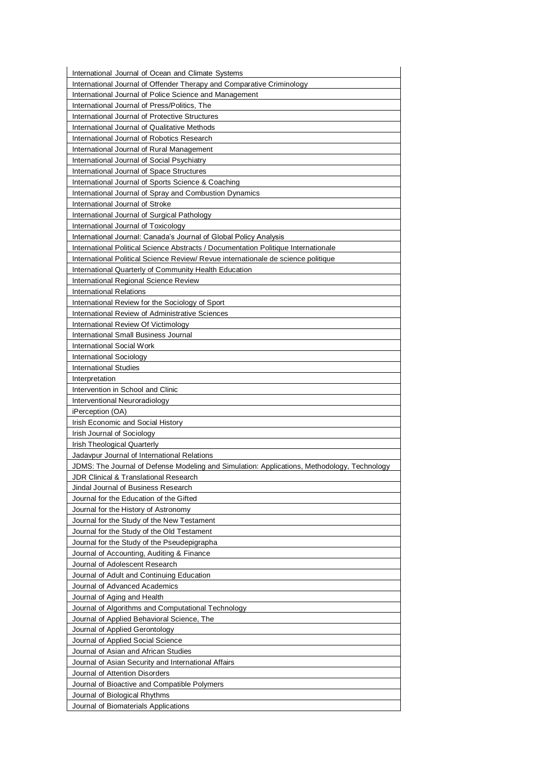| International Journal of Ocean and Climate Systems                                          |
|---------------------------------------------------------------------------------------------|
| International Journal of Offender Therapy and Comparative Criminology                       |
| International Journal of Police Science and Management                                      |
| International Journal of Press/Politics, The                                                |
| International Journal of Protective Structures                                              |
| International Journal of Qualitative Methods                                                |
| International Journal of Robotics Research                                                  |
| International Journal of Rural Management                                                   |
| International Journal of Social Psychiatry                                                  |
| International Journal of Space Structures                                                   |
| International Journal of Sports Science & Coaching                                          |
| International Journal of Spray and Combustion Dynamics                                      |
| International Journal of Stroke                                                             |
| International Journal of Surgical Pathology                                                 |
| International Journal of Toxicology                                                         |
| International Journal: Canada's Journal of Global Policy Analysis                           |
| International Political Science Abstracts / Documentation Politique Internationale          |
| International Political Science Review/ Revue internationale de science politique           |
| International Quarterly of Community Health Education                                       |
| <b>International Regional Science Review</b>                                                |
| <b>International Relations</b>                                                              |
| International Review for the Sociology of Sport                                             |
| International Review of Administrative Sciences                                             |
| International Review Of Victimology                                                         |
| <b>International Small Business Journal</b>                                                 |
| International Social Work                                                                   |
| International Sociology                                                                     |
| <b>International Studies</b>                                                                |
| Interpretation                                                                              |
| Intervention in School and Clinic                                                           |
| Interventional Neuroradiology                                                               |
| iPerception (OA)                                                                            |
| Irish Economic and Social History                                                           |
| Irish Journal of Sociology                                                                  |
| Irish Theological Quarterly                                                                 |
| Jadavpur Journal of International Relations                                                 |
| JDMS: The Journal of Defense Modeling and Simulation: Applications, Methodology, Technology |
| <b>JDR Clinical &amp; Translational Research</b>                                            |
| Jindal Journal of Business Research                                                         |
| Journal for the Education of the Gifted                                                     |
| Journal for the History of Astronomy                                                        |
| Journal for the Study of the New Testament                                                  |
| Journal for the Study of the Old Testament                                                  |
| Journal for the Study of the Pseudepigrapha                                                 |
| Journal of Accounting, Auditing & Finance                                                   |
| Journal of Adolescent Research                                                              |
| Journal of Adult and Continuing Education                                                   |
| Journal of Advanced Academics                                                               |
| Journal of Aging and Health                                                                 |
| Journal of Algorithms and Computational Technology                                          |
| Journal of Applied Behavioral Science, The                                                  |
| Journal of Applied Gerontology                                                              |
| Journal of Applied Social Science                                                           |
| Journal of Asian and African Studies                                                        |
| Journal of Asian Security and International Affairs                                         |
| Journal of Attention Disorders                                                              |
| Journal of Bioactive and Compatible Polymers                                                |
| Journal of Biological Rhythms                                                               |
| Journal of Biomaterials Applications                                                        |
|                                                                                             |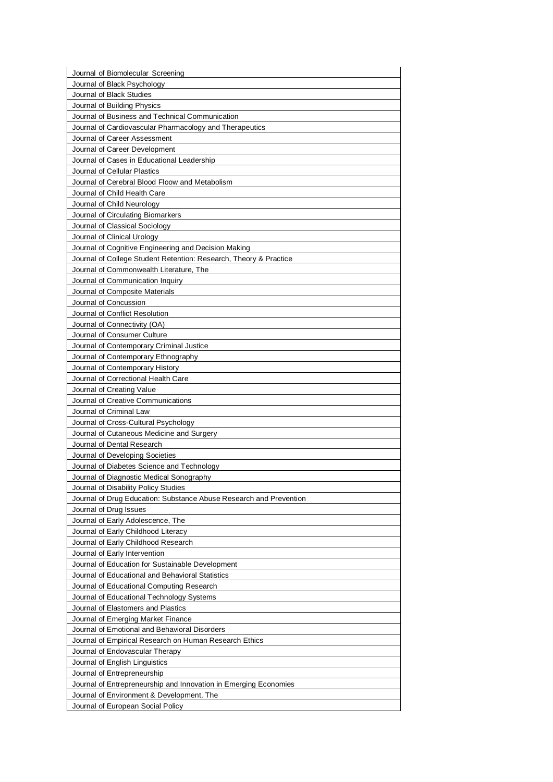| Journal of Biomolecular Screening                                                            |
|----------------------------------------------------------------------------------------------|
| Journal of Black Psychology                                                                  |
| Journal of Black Studies                                                                     |
| Journal of Building Physics                                                                  |
| Journal of Business and Technical Communication                                              |
| Journal of Cardiovascular Pharmacology and Therapeutics<br>Journal of Career Assessment      |
| Journal of Career Development                                                                |
| Journal of Cases in Educational Leadership                                                   |
| Journal of Cellular Plastics                                                                 |
| Journal of Cerebral Blood Floow and Metabolism                                               |
| Journal of Child Health Care                                                                 |
| Journal of Child Neurology                                                                   |
| Journal of Circulating Biomarkers                                                            |
| Journal of Classical Sociology                                                               |
| Journal of Clinical Urology                                                                  |
| Journal of Cognitive Engineering and Decision Making                                         |
| Journal of College Student Retention: Research, Theory & Practice                            |
| Journal of Commonwealth Literature. The                                                      |
| Journal of Communication Inquiry                                                             |
| Journal of Composite Materials                                                               |
| Journal of Concussion                                                                        |
| Journal of Conflict Resolution                                                               |
| Journal of Connectivity (OA)                                                                 |
| Journal of Consumer Culture                                                                  |
| Journal of Contemporary Criminal Justice                                                     |
| Journal of Contemporary Ethnography                                                          |
| Journal of Contemporary History                                                              |
| Journal of Correctional Health Care                                                          |
| Journal of Creating Value                                                                    |
| Journal of Creative Communications                                                           |
| Journal of Criminal Law                                                                      |
| Journal of Cross-Cultural Psychology                                                         |
| Journal of Cutaneous Medicine and Surgery                                                    |
| Journal of Dental Research                                                                   |
| Journal of Developing Societies                                                              |
| Journal of Diabetes Science and Technology                                                   |
| Journal of Diagnostic Medical Sonography                                                     |
| Journal of Disability Policy Studies                                                         |
| Journal of Drug Education: Substance Abuse Research and Prevention<br>Journal of Drug Issues |
| Journal of Early Adolescence, The                                                            |
| Journal of Early Childhood Literacy                                                          |
| Journal of Early Childhood Research                                                          |
| Journal of Early Intervention                                                                |
| Journal of Education for Sustainable Development                                             |
| Journal of Educational and Behavioral Statistics                                             |
| Journal of Educational Computing Research                                                    |
| Journal of Educational Technology Systems                                                    |
| Journal of Elastomers and Plastics                                                           |
| Journal of Emerging Market Finance                                                           |
| Journal of Emotional and Behavioral Disorders                                                |
| Journal of Empirical Research on Human Research Ethics                                       |
| Journal of Endovascular Therapy                                                              |
| Journal of English Linguistics                                                               |
| Journal of Entrepreneurship                                                                  |
| Journal of Entrepreneurship and Innovation in Emerging Economies                             |
|                                                                                              |
| Journal of Environment & Development, The                                                    |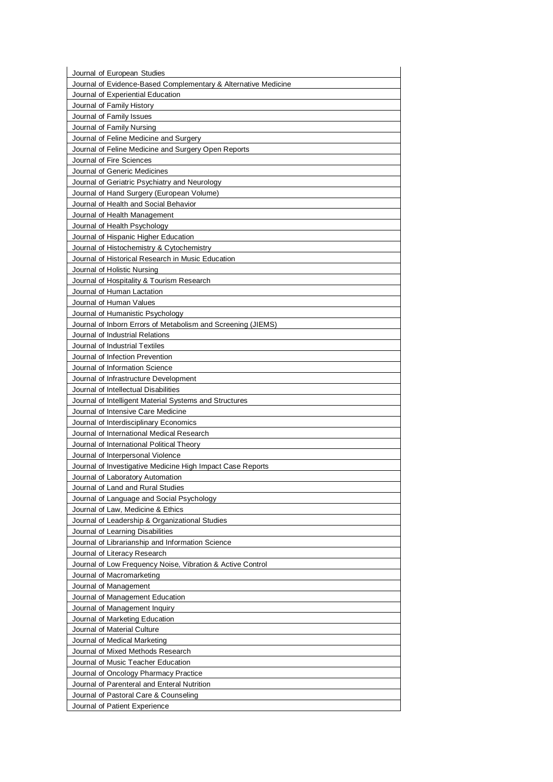| Journal of European Studies                                                                  |
|----------------------------------------------------------------------------------------------|
| Journal of Evidence-Based Complementary & Alternative Medicine                               |
| Journal of Experiential Education                                                            |
| Journal of Family History                                                                    |
| Journal of Family Issues                                                                     |
| Journal of Family Nursing                                                                    |
| Journal of Feline Medicine and Surgery                                                       |
| Journal of Feline Medicine and Surgery Open Reports                                          |
| Journal of Fire Sciences                                                                     |
| Journal of Generic Medicines                                                                 |
| Journal of Geriatric Psychiatry and Neurology                                                |
| Journal of Hand Surgery (European Volume)                                                    |
| Journal of Health and Social Behavior                                                        |
| Journal of Health Management                                                                 |
| Journal of Health Psychology                                                                 |
| Journal of Hispanic Higher Education                                                         |
| Journal of Histochemistry & Cytochemistry                                                    |
| Journal of Historical Research in Music Education                                            |
| Journal of Holistic Nursing                                                                  |
| Journal of Hospitality & Tourism Research                                                    |
| Journal of Human Lactation                                                                   |
| Journal of Human Values                                                                      |
| Journal of Humanistic Psychology                                                             |
| Journal of Inborn Errors of Metabolism and Screening (JIEMS)                                 |
| Journal of Industrial Relations                                                              |
| Journal of Industrial Textiles                                                               |
| Journal of Infection Prevention                                                              |
| Journal of Information Science                                                               |
|                                                                                              |
| Journal of Infrastructure Development                                                        |
| Journal of Intellectual Disabilities                                                         |
| Journal of Intelligent Material Systems and Structures<br>Journal of Intensive Care Medicine |
|                                                                                              |
| Journal of Interdisciplinary Economics                                                       |
| Journal of International Medical Research                                                    |
| Journal of International Political Theory                                                    |
| Journal of Interpersonal Violence                                                            |
| Journal of Investigative Medicine High Impact Case Reports                                   |
| Journal of Laboratory Automation                                                             |
| Journal of Land and Rural Studies                                                            |
| Journal of Language and Social Psychology                                                    |
|                                                                                              |
| Journal of Law, Medicine & Ethics                                                            |
| Journal of Leadership & Organizational Studies                                               |
| Journal of Learning Disabilities                                                             |
| Journal of Librarianship and Information Science                                             |
| Journal of Literacy Research                                                                 |
| Journal of Low Frequency Noise, Vibration & Active Control                                   |
| Journal of Macromarketing                                                                    |
| Journal of Management                                                                        |
| Journal of Management Education                                                              |
| Journal of Management Inquiry                                                                |
| Journal of Marketing Education                                                               |
| Journal of Material Culture                                                                  |
| Journal of Medical Marketing                                                                 |
| Journal of Mixed Methods Research                                                            |
| Journal of Music Teacher Education                                                           |
| Journal of Oncology Pharmacy Practice                                                        |
| Journal of Parenteral and Enteral Nutrition                                                  |
| Journal of Pastoral Care & Counseling                                                        |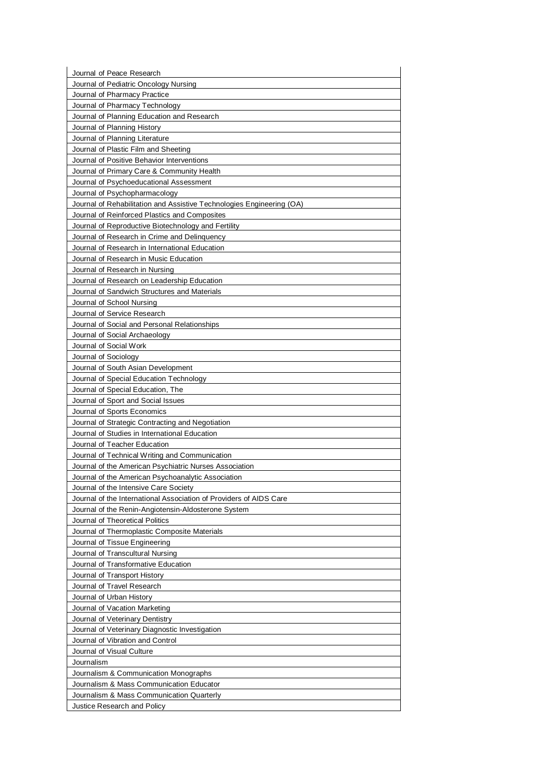| Journal of Peace Research                                                                         |
|---------------------------------------------------------------------------------------------------|
| Journal of Pediatric Oncology Nursing                                                             |
| Journal of Pharmacy Practice                                                                      |
| Journal of Pharmacy Technology                                                                    |
| Journal of Planning Education and Research<br>Journal of Planning History                         |
| Journal of Planning Literature                                                                    |
| Journal of Plastic Film and Sheeting                                                              |
| Journal of Positive Behavior Interventions                                                        |
| Journal of Primary Care & Community Health                                                        |
| Journal of Psychoeducational Assessment                                                           |
| Journal of Psychopharmacology                                                                     |
| Journal of Rehabilitation and Assistive Technologies Engineering (OA)                             |
| Journal of Reinforced Plastics and Composites                                                     |
| Journal of Reproductive Biotechnology and Fertility                                               |
| Journal of Research in Crime and Delinguency                                                      |
| Journal of Research in International Education                                                    |
| Journal of Research in Music Education                                                            |
| Journal of Research in Nursing                                                                    |
| Journal of Research on Leadership Education                                                       |
| Journal of Sandwich Structures and Materials                                                      |
| Journal of School Nursing                                                                         |
| Journal of Service Research                                                                       |
| Journal of Social and Personal Relationships                                                      |
| Journal of Social Archaeology                                                                     |
| Journal of Social Work                                                                            |
| Journal of Sociology                                                                              |
| Journal of South Asian Development                                                                |
| Journal of Special Education Technology                                                           |
| Journal of Special Education, The                                                                 |
| Journal of Sport and Social Issues                                                                |
| Journal of Sports Economics                                                                       |
| Journal of Strategic Contracting and Negotiation<br>Journal of Studies in International Education |
| Journal of Teacher Education                                                                      |
| Journal of Technical Writing and Communication                                                    |
| Journal of the American Psychiatric Nurses Association                                            |
| Journal of the American Psychoanalytic Association                                                |
| Journal of the Intensive Care Society                                                             |
| Journal of the International Association of Providers of AIDS Care                                |
| Journal of the Renin-Angiotensin-Aldosterone System                                               |
| Journal of Theoretical Politics                                                                   |
| Journal of Thermoplastic Composite Materials                                                      |
| Journal of Tissue Engineering                                                                     |
| Journal of Transcultural Nursing                                                                  |
| Journal of Transformative Education                                                               |
| Journal of Transport History                                                                      |
| Journal of Travel Research                                                                        |
| Journal of Urban History                                                                          |
| Journal of Vacation Marketing                                                                     |
| Journal of Veterinary Dentistry                                                                   |
| Journal of Veterinary Diagnostic Investigation                                                    |
| Journal of Vibration and Control                                                                  |
| Journal of Visual Culture                                                                         |
| Journalism                                                                                        |
| Journalism & Communication Monographs                                                             |
| Journalism & Mass Communication Educator                                                          |
| Journalism & Mass Communication Quarterly                                                         |
| Justice Research and Policy                                                                       |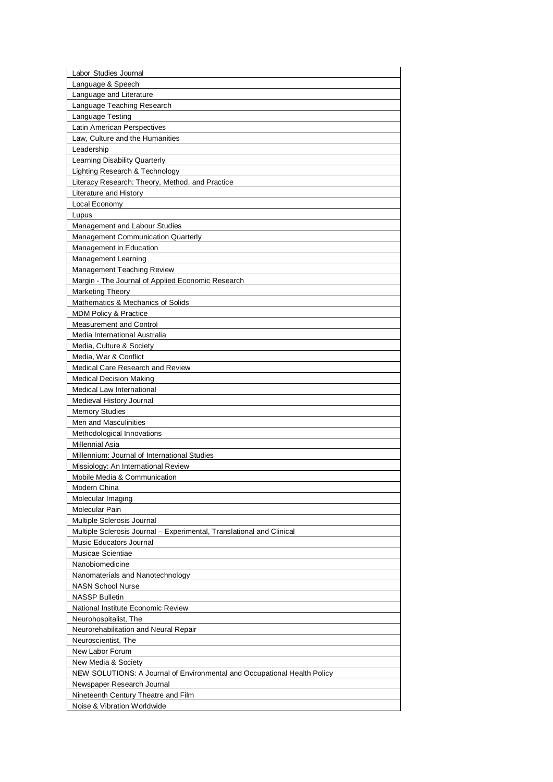| Labor Studies Journal                                                    |
|--------------------------------------------------------------------------|
| Language & Speech                                                        |
| Language and Literature                                                  |
| Language Teaching Research                                               |
| Language Testing                                                         |
| Latin American Perspectives                                              |
| Law, Culture and the Humanities                                          |
| Leadership                                                               |
| Learning Disability Quarterly                                            |
| Lighting Research & Technology                                           |
| Literacy Research: Theory, Method, and Practice                          |
| Literature and History                                                   |
| Local Economy                                                            |
| Lupus                                                                    |
| Management and Labour Studies                                            |
| <b>Management Communication Quarterly</b>                                |
| Management in Education                                                  |
| Management Learning                                                      |
| Management Teaching Review                                               |
| Margin - The Journal of Applied Economic Research                        |
| <b>Marketing Theory</b>                                                  |
| Mathematics & Mechanics of Solids                                        |
| <b>MDM Policy &amp; Practice</b>                                         |
| <b>Measurement and Control</b>                                           |
| Media International Australia                                            |
| Media, Culture & Society                                                 |
| Media, War & Conflict                                                    |
| Medical Care Research and Review                                         |
| <b>Medical Decision Making</b>                                           |
| Medical Law International                                                |
| Medieval History Journal                                                 |
| <b>Memory Studies</b>                                                    |
| Men and Masculinities                                                    |
| Methodological Innovations                                               |
| Millennial Asia                                                          |
| Millennium: Journal of International Studies                             |
| Missiology: An International Review                                      |
| Mobile Media & Communication                                             |
| Modern China                                                             |
| Molecular Imaging                                                        |
| Molecular Pain                                                           |
| Multiple Sclerosis Journal                                               |
| Multiple Sclerosis Journal – Experimental, Translational and Clinical    |
| Music Educators Journal                                                  |
| Musicae Scientiae                                                        |
| Nanobiomedicine                                                          |
| Nanomaterials and Nanotechnology                                         |
| <b>NASN School Nurse</b>                                                 |
| <b>NASSP Bulletin</b>                                                    |
| National Institute Economic Review                                       |
| Neurohospitalist, The                                                    |
| Neurorehabilitation and Neural Repair                                    |
| Neuroscientist, The                                                      |
| New Labor Forum                                                          |
| New Media & Society                                                      |
| NEW SOLUTIONS: A Journal of Environmental and Occupational Health Policy |
| Newspaper Research Journal                                               |
| Nineteenth Century Theatre and Film                                      |
| Noise & Vibration Worldwide                                              |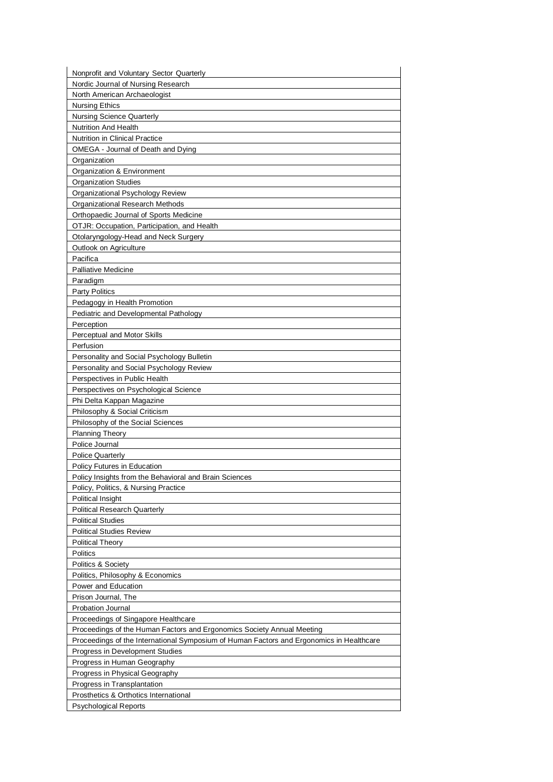| Nonprofit and Voluntary Sector Quarterly                                                 |
|------------------------------------------------------------------------------------------|
| Nordic Journal of Nursing Research                                                       |
| North American Archaeologist                                                             |
| <b>Nursing Ethics</b>                                                                    |
| <b>Nursing Science Quarterly</b>                                                         |
| <b>Nutrition And Health</b>                                                              |
| <b>Nutrition in Clinical Practice</b>                                                    |
| OMEGA - Journal of Death and Dying                                                       |
| Organization                                                                             |
| Organization & Environment                                                               |
| <b>Organization Studies</b>                                                              |
| Organizational Psychology Review                                                         |
| <b>Organizational Research Methods</b>                                                   |
| Orthopaedic Journal of Sports Medicine                                                   |
| OTJR: Occupation, Participation, and Health                                              |
| Otolaryngology-Head and Neck Surgery                                                     |
| Outlook on Agriculture                                                                   |
| Pacifica                                                                                 |
| <b>Palliative Medicine</b>                                                               |
| Paradigm                                                                                 |
| <b>Party Politics</b>                                                                    |
| Pedagogy in Health Promotion                                                             |
| Pediatric and Developmental Pathology                                                    |
| Perception<br>Perceptual and Motor Skills                                                |
|                                                                                          |
| Perfusion<br>Personality and Social Psychology Bulletin                                  |
| Personality and Social Psychology Review                                                 |
| Perspectives in Public Health                                                            |
| Perspectives on Psychological Science                                                    |
| Phi Delta Kappan Magazine                                                                |
| Philosophy & Social Criticism                                                            |
| Philosophy of the Social Sciences                                                        |
| Planning Theory                                                                          |
| Police Journal                                                                           |
| <b>Police Quarterly</b>                                                                  |
| <b>Policy Futures in Education</b>                                                       |
| Policy Insights from the Behavioral and Brain Sciences                                   |
| Policy, Politics, & Nursing Practice                                                     |
| <b>Political Insight</b>                                                                 |
| Political Research Quarterly                                                             |
| <b>Political Studies</b>                                                                 |
| <b>Political Studies Review</b>                                                          |
| Political Theory                                                                         |
| <b>Politics</b>                                                                          |
| Politics & Society                                                                       |
| Politics, Philosophy & Economics                                                         |
| Power and Education                                                                      |
| Prison Journal, The                                                                      |
| <b>Probation Journal</b>                                                                 |
| Proceedings of Singapore Healthcare                                                      |
| Proceedings of the Human Factors and Ergonomics Society Annual Meeting                   |
| Proceedings of the International Symposium of Human Factors and Ergonomics in Healthcare |
| Progress in Development Studies                                                          |
| Progress in Human Geography                                                              |
| Progress in Physical Geography<br>Progress in Transplantation                            |
| Prosthetics & Orthotics International                                                    |
| <b>Psychological Reports</b>                                                             |
|                                                                                          |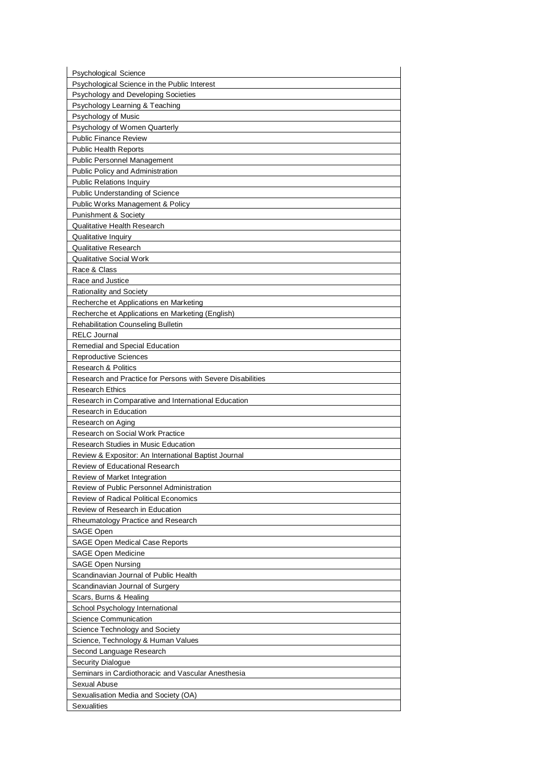| <b>Psychological Science</b>                                                                  |
|-----------------------------------------------------------------------------------------------|
| Psychological Science in the Public Interest                                                  |
| Psychology and Developing Societies                                                           |
| Psychology Learning & Teaching                                                                |
| Psychology of Music                                                                           |
| Psychology of Women Quarterly                                                                 |
| <b>Public Finance Review</b>                                                                  |
| <b>Public Health Reports</b>                                                                  |
| <b>Public Personnel Management</b>                                                            |
| Public Policy and Administration                                                              |
| <b>Public Relations Inquiry</b>                                                               |
| Public Understanding of Science                                                               |
| Public Works Management & Policy                                                              |
| Punishment & Society                                                                          |
| <b>Qualitative Health Research</b>                                                            |
| Qualitative Inquiry                                                                           |
| Qualitative Research                                                                          |
| <b>Qualitative Social Work</b>                                                                |
| Race & Class                                                                                  |
| Race and Justice                                                                              |
| <b>Rationality and Society</b>                                                                |
| Recherche et Applications en Marketing                                                        |
| Recherche et Applications en Marketing (English)<br><b>Rehabilitation Counseling Bulletin</b> |
| <b>RELC Journal</b>                                                                           |
| Remedial and Special Education                                                                |
| <b>Reproductive Sciences</b>                                                                  |
| <b>Research &amp; Politics</b>                                                                |
| Research and Practice for Persons with Severe Disabilities                                    |
| <b>Research Ethics</b>                                                                        |
| Research in Comparative and International Education                                           |
| Research in Education                                                                         |
|                                                                                               |
| Research on Aging                                                                             |
| Research on Social Work Practice                                                              |
| <b>Research Studies in Music Education</b>                                                    |
| Review & Expositor: An International Baptist Journal                                          |
| Review of Educational Research                                                                |
| Review of Market Integration                                                                  |
| Review of Public Personnel Administration                                                     |
| <b>Review of Radical Political Economics</b>                                                  |
| Review of Research in Education                                                               |
| Rheumatology Practice and Research                                                            |
| SAGE Open                                                                                     |
| <b>SAGE Open Medical Case Reports</b>                                                         |
| <b>SAGE Open Medicine</b>                                                                     |
| <b>SAGE Open Nursing</b>                                                                      |
| Scandinavian Journal of Public Health                                                         |
| Scandinavian Journal of Surgery                                                               |
| Scars, Burns & Healing                                                                        |
| School Psychology International<br><b>Science Communication</b>                               |
|                                                                                               |
| Science Technology and Society                                                                |
| Science, Technology & Human Values<br>Second Language Research                                |
| <b>Security Dialogue</b>                                                                      |
| Seminars in Cardiothoracic and Vascular Anesthesia                                            |
| Sexual Abuse                                                                                  |
| Sexualisation Media and Society (OA)                                                          |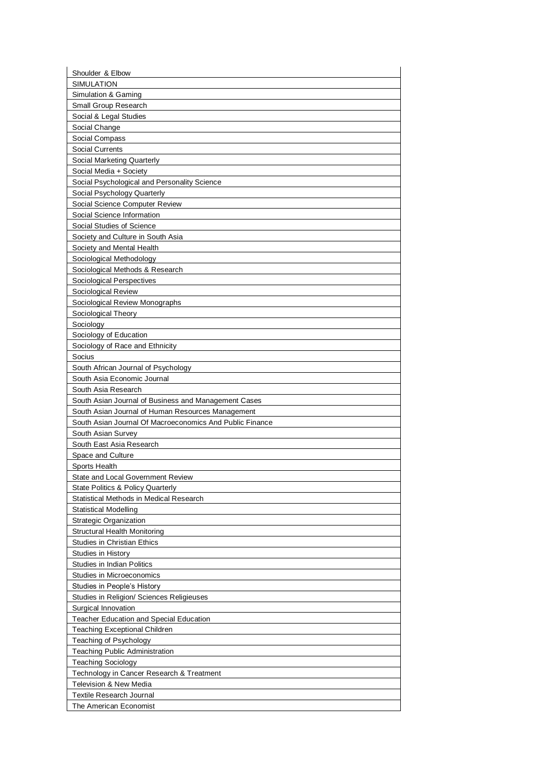| Shoulder & Elbow                                                         |
|--------------------------------------------------------------------------|
| <b>SIMULATION</b>                                                        |
| Simulation & Gaming                                                      |
| Small Group Research                                                     |
| Social & Legal Studies                                                   |
| Social Change                                                            |
| Social Compass                                                           |
| <b>Social Currents</b>                                                   |
| Social Marketing Quarterly                                               |
| Social Media + Society                                                   |
| Social Psychological and Personality Science                             |
| Social Psychology Quarterly                                              |
| Social Science Computer Review                                           |
| Social Science Information                                               |
| Social Studies of Science                                                |
| Society and Culture in South Asia                                        |
| Society and Mental Health                                                |
| Sociological Methodology                                                 |
| Sociological Methods & Research                                          |
| Sociological Perspectives                                                |
| Sociological Review                                                      |
| Sociological Review Monographs                                           |
| Sociological Theory                                                      |
| Sociology                                                                |
| Sociology of Education                                                   |
| Sociology of Race and Ethnicity                                          |
| Socius                                                                   |
| South African Journal of Psychology                                      |
| South Asia Economic Journal                                              |
| South Asia Research                                                      |
| South Asian Journal of Business and Management Cases                     |
| South Asian Journal of Human Resources Management                        |
|                                                                          |
| South Asian Journal Of Macroeconomics And Public Finance                 |
| South Asian Survey                                                       |
| South East Asia Research                                                 |
| Space and Culture                                                        |
| Sports Health                                                            |
| State and Local Government Review                                        |
| State Politics & Policy Quarterly                                        |
| Statistical Methods in Medical Research                                  |
| <b>Statistical Modelling</b>                                             |
| <b>Strategic Organization</b>                                            |
| Structural Health Monitoring                                             |
| <b>Studies in Christian Ethics</b>                                       |
| Studies in History                                                       |
| <b>Studies in Indian Politics</b><br>Studies in Microeconomics           |
|                                                                          |
| Studies in People's History<br>Studies in Religion/ Sciences Religieuses |
| Surgical Innovation                                                      |
| <b>Teacher Education and Special Education</b>                           |
| <b>Teaching Exceptional Children</b>                                     |
| Teaching of Psychology                                                   |
| <b>Teaching Public Administration</b>                                    |
| <b>Teaching Sociology</b>                                                |
| Technology in Cancer Research & Treatment                                |
| <b>Television &amp; New Media</b>                                        |
| <b>Textile Research Journal</b>                                          |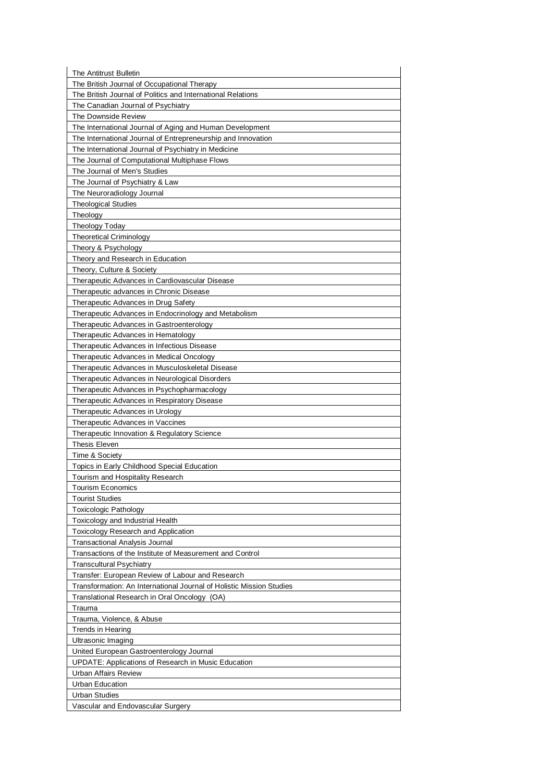| The Antitrust Bulletin                                                              |
|-------------------------------------------------------------------------------------|
| The British Journal of Occupational Therapy                                         |
| The British Journal of Politics and International Relations                         |
| The Canadian Journal of Psychiatry                                                  |
| The Downside Review                                                                 |
| The International Journal of Aging and Human Development                            |
| The International Journal of Entrepreneurship and Innovation                        |
| The International Journal of Psychiatry in Medicine                                 |
| The Journal of Computational Multiphase Flows                                       |
| The Journal of Men's Studies                                                        |
| The Journal of Psychiatry & Law                                                     |
| The Neuroradiology Journal                                                          |
| <b>Theological Studies</b>                                                          |
| Theology                                                                            |
| <b>Theology Today</b>                                                               |
| <b>Theoretical Criminology</b>                                                      |
| Theory & Psychology                                                                 |
| Theory and Research in Education                                                    |
| Theory, Culture & Society<br>Therapeutic Advances in Cardiovascular Disease         |
|                                                                                     |
| Therapeutic advances in Chronic Disease<br>Therapeutic Advances in Drug Safety      |
| Therapeutic Advances in Endocrinology and Metabolism                                |
| Therapeutic Advances in Gastroenterology                                            |
| Therapeutic Advances in Hematology                                                  |
| Therapeutic Advances in Infectious Disease                                          |
| Therapeutic Advances in Medical Oncology                                            |
| Therapeutic Advances in Musculoskeletal Disease                                     |
| Therapeutic Advances in Neurological Disorders                                      |
| Therapeutic Advances in Psychopharmacology                                          |
| Therapeutic Advances in Respiratory Disease                                         |
| Therapeutic Advances in Urology                                                     |
| Therapeutic Advances in Vaccines                                                    |
| Therapeutic Innovation & Regulatory Science                                         |
| <b>Thesis Eleven</b>                                                                |
| Time & Society                                                                      |
| Topics in Early Childhood Special Education                                         |
| Tourism and Hospitality Research                                                    |
| <b>Tourism Economics</b>                                                            |
| <b>Tourist Studies</b>                                                              |
| <b>Toxicologic Pathology</b>                                                        |
| Toxicology and Industrial Health                                                    |
| <b>Toxicology Research and Application</b>                                          |
| Transactional Analysis Journal                                                      |
| Transactions of the Institute of Measurement and Control                            |
| <b>Transcultural Psychiatry</b><br>Transfer: European Review of Labour and Research |
| Transformation: An International Journal of Holistic Mission Studies                |
| Translational Research in Oral Oncology (OA)                                        |
| Trauma                                                                              |
| Trauma, Violence, & Abuse                                                           |
| <b>Trends in Hearing</b>                                                            |
| Ultrasonic Imaging                                                                  |
| United European Gastroenterology Journal                                            |
| <b>UPDATE: Applications of Research in Music Education</b>                          |
| Urban Affairs Review                                                                |
| Urban Education                                                                     |
| <b>Urban Studies</b>                                                                |
| Vascular and Endovascular Surgery                                                   |
|                                                                                     |